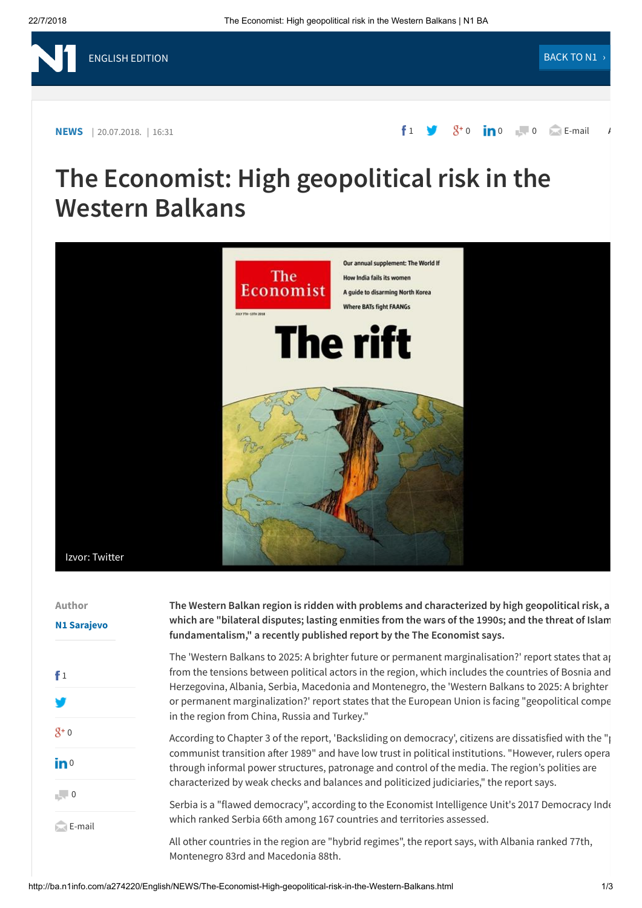## **The Economist: High geopolitical risk in the Western Balkans**



| Author<br><b>N1 Sarajevo</b>                                                                                                                                                                                                                                                                                                                                                                          | The Western Balkan region is ridden with problems and characterized by high geopolitical risk, a<br>which are "bilateral disputes; lasting enmities from the wars of the 1990s; and the threat of Islam<br>fundamentalism," a recently published report by the The Economist says.                                                                                                                                                                                      |
|-------------------------------------------------------------------------------------------------------------------------------------------------------------------------------------------------------------------------------------------------------------------------------------------------------------------------------------------------------------------------------------------------------|-------------------------------------------------------------------------------------------------------------------------------------------------------------------------------------------------------------------------------------------------------------------------------------------------------------------------------------------------------------------------------------------------------------------------------------------------------------------------|
| f <sub>1</sub>                                                                                                                                                                                                                                                                                                                                                                                        | The 'Western Balkans to 2025: A brighter future or permanent marginalisation?' report states that ap<br>from the tensions between political actors in the region, which includes the countries of Bosnia and<br>Herzegovina, Albania, Serbia, Macedonia and Montenegro, the 'Western Balkans to 2025: A brighter<br>or permanent marginalization?' report states that the European Union is facing "geopolitical compe<br>in the region from China, Russia and Turkey." |
| $8^{+}0$<br>$\mathbf{in}$ <sup>0</sup>                                                                                                                                                                                                                                                                                                                                                                | According to Chapter 3 of the report, 'Backsliding on democracy', citizens are dissatisfied with the " $\mu$<br>communist transition after 1989" and have low trust in political institutions. "However, rulers opera<br>through informal power structures, patronage and control of the media. The region's polities are<br>characterized by weak checks and balances and politicized judiciaries," the report says.                                                   |
| $\overline{a}$ $\overline{a}$ $\overline{a}$ $\overline{a}$ $\overline{a}$ $\overline{a}$ $\overline{a}$ $\overline{a}$ $\overline{a}$ $\overline{a}$ $\overline{a}$ $\overline{a}$ $\overline{a}$ $\overline{a}$ $\overline{a}$ $\overline{a}$ $\overline{a}$ $\overline{a}$ $\overline{a}$ $\overline{a}$ $\overline{a}$ $\overline{a}$ $\overline{a}$ $\overline{a}$ $\overline{$<br>$\Box$ E-mail | Serbia is a "flawed democracy", according to the Economist Intelligence Unit's 2017 Democracy Inde<br>which ranked Serbia 66th among 167 countries and territories assessed.<br>All other countries in the region are "hybrid regimes", the report says, with Albania ranked 77th,<br>Montenegro 83rd and Macedonia 88th.                                                                                                                                               |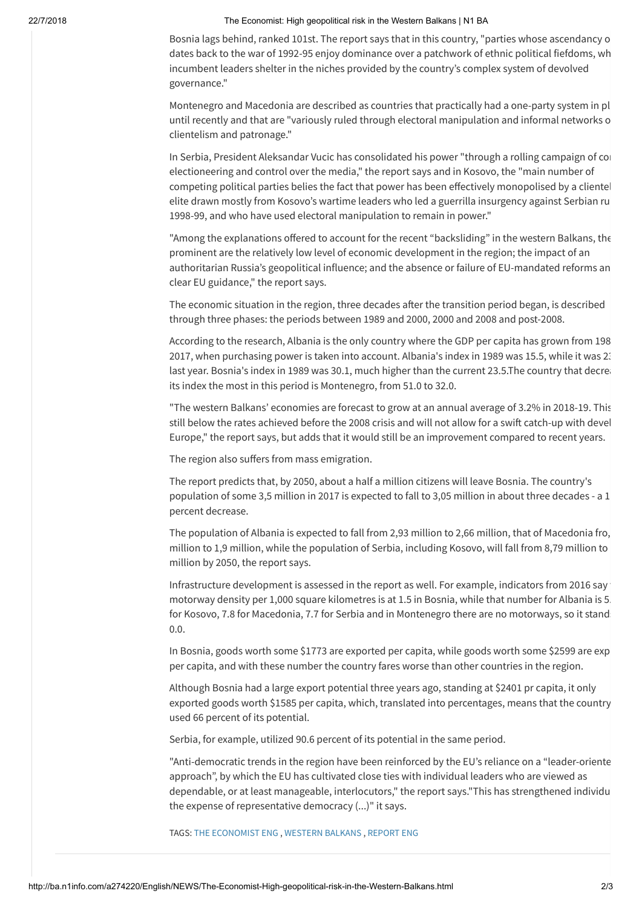## 22/7/2018 The Economist: High geopolitical risk in the Western Balkans | N1 BA

Bosnia lags behind, ranked 101st. The report says that in this country, "parties whose ascendancy o dates back to the war of 1992-95 enjoy dominance over a patchwork of ethnic political fiefdoms, wh incumbent leaders shelter in the niches provided by the country's complex system of devolved governance."

Montenegro and Macedonia are described as countries that practically had a one-party system in pl until recently and that are "variously ruled through electoral manipulation and informal networks o clientelism and patronage."

In Serbia, President Aleksandar Vucic has consolidated his power "through a rolling campaign of con electioneering and control over the media," the report says and in Kosovo, the "main number of competing political parties belies the fact that power has been effectively monopolised by a clientel elite drawn mostly from Kosovo's wartime leaders who led a guerrilla insurgency against Serbian ru 1998-99, and who have used electoral manipulation to remain in power."

"Among the explanations offered to account for the recent "backsliding" in the western Balkans, the prominent are the relatively low level of economic development in the region; the impact of an authoritarian Russia's geopolitical influence; and the absence or failure of EU-mandated reforms an clear EU guidance," the report says.

The economic situation in the region, three decades after the transition period began, is described through three phases: the periods between 1989 and 2000, 2000 and 2008 and post-2008.

According to the research, Albania is the only country where the GDP per capita has grown from 198 2017, when purchasing power is taken into account. Albania's index in 1989 was 15.5, while it was 23 last year. Bosnia's index in 1989 was 30.1, much higher than the current 23.5.The country that decrea its index the most in this period is Montenegro, from 51.0 to 32.0.

"The western Balkans' economies are forecast to grow at an annual average of 3.2% in 2018-19. This still below the rates achieved before the 2008 crisis and will not allow for a swift catch-up with devel Europe," the report says, but adds that it would still be an improvement compared to recent years.

The region also suffers from mass emigration.

The report predicts that, by 2050, about a half a million citizens will leave Bosnia. The country's population of some 3,5 million in 2017 is expected to fall to 3,05 million in about three decades - a 1 percent decrease.

The population of Albania is expected to fall from 2,93 million to 2,66 million, that of Macedonia fro, million to 1,9 million, while the population of Serbia, including Kosovo, will fall from 8,79 million to million by 2050, the report says.

Infrastructure development is assessed in the report as well. For example, indicators from 2016 say motorway density per 1,000 square kilometres is at 1.5 in Bosnia, while that number for Albania is 5. for Kosovo, 7.8 for Macedonia, 7.7 for Serbia and in Montenegro there are no motorways, so it stand: 0.0.

In Bosnia, goods worth some \$1773 are exported per capita, while goods worth some \$2599 are exp per capita, and with these number the country fares worse than other countries in the region.

Although Bosnia had a large export potential three years ago, standing at \$2401 pr capita, it only exported goods worth \$1585 per capita, which, translated into percentages, means that the country used 66 percent of its potential.

Serbia, for example, utilized 90.6 percent of its potential in the same period.

"Anti-democratic trends in the region have been reinforced by the EU's reliance on a "leader-oriente approach", by which the EU has cultivated close ties with individual leaders who are viewed as dependable, or at least manageable, interlocutors," the report says."This has strengthened individu the expense of representative democracy (...)" it says.

TAGS: THE [ECONOMIST](http://ba.n1info.com/tag32322/the-economist-ENG/1) ENG , [WESTERN](http://ba.n1info.com/tag32504/Western-Balkans/1) BALKANS , [REPORT](http://ba.n1info.com/tag34743/report-ENG/1) ENG